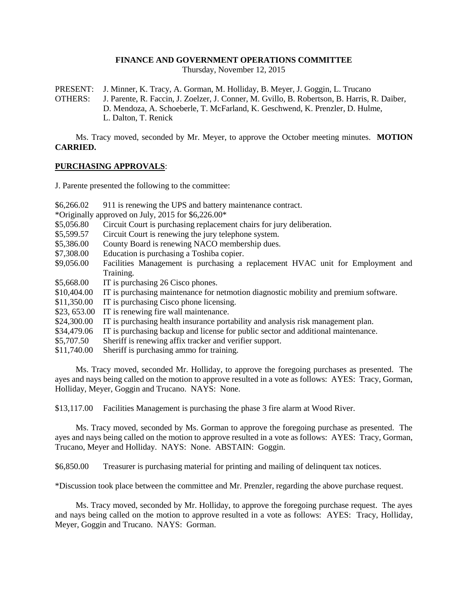#### **FINANCE AND GOVERNMENT OPERATIONS COMMITTEE**

Thursday, November 12, 2015

PRESENT: J. Minner, K. Tracy, A. Gorman, M. Holliday, B. Meyer, J. Goggin, L. Trucano

OTHERS: J. Parente, R. Faccin, J. Zoelzer, J. Conner, M. Gvillo, B. Robertson, B. Harris, R. Daiber, D. Mendoza, A. Schoeberle, T. McFarland, K. Geschwend, K. Prenzler, D. Hulme, L. Dalton, T. Renick

Ms. Tracy moved, seconded by Mr. Meyer, to approve the October meeting minutes. **MOTION CARRIED.**

#### **PURCHASING APPROVALS**:

J. Parente presented the following to the committee:

\$6,266.02 911 is renewing the UPS and battery maintenance contract.

\*Originally approved on July, 2015 for \$6,226.00\*

- \$5,056.80 Circuit Court is purchasing replacement chairs for jury deliberation.
- \$5,599.57 Circuit Court is renewing the jury telephone system.
- \$5,386.00 County Board is renewing NACO membership dues.
- \$7,308.00 Education is purchasing a Toshiba copier.
- \$9,056.00 Facilities Management is purchasing a replacement HVAC unit for Employment and Training.
- \$5,668.00 IT is purchasing 26 Cisco phones.
- \$10,404.00 IT is purchasing maintenance for netmotion diagnostic mobility and premium software.
- \$11,350.00 IT is purchasing Cisco phone licensing.
- \$23, 653.00 IT is renewing fire wall maintenance.
- \$24,300.00 IT is purchasing health insurance portability and analysis risk management plan.
- \$34,479.06 IT is purchasing backup and license for public sector and additional maintenance.
- \$5,707.50 Sheriff is renewing affix tracker and verifier support.
- \$11,740.00 Sheriff is purchasing ammo for training.

Ms. Tracy moved, seconded Mr. Holliday, to approve the foregoing purchases as presented. The ayes and nays being called on the motion to approve resulted in a vote as follows: AYES: Tracy, Gorman, Holliday, Meyer, Goggin and Trucano. NAYS: None.

\$13,117.00 Facilities Management is purchasing the phase 3 fire alarm at Wood River.

Ms. Tracy moved, seconded by Ms. Gorman to approve the foregoing purchase as presented. The ayes and nays being called on the motion to approve resulted in a vote as follows: AYES: Tracy, Gorman, Trucano, Meyer and Holliday. NAYS: None. ABSTAIN: Goggin.

\$6,850.00 Treasurer is purchasing material for printing and mailing of delinquent tax notices.

\*Discussion took place between the committee and Mr. Prenzler, regarding the above purchase request.

Ms. Tracy moved, seconded by Mr. Holliday, to approve the foregoing purchase request. The ayes and nays being called on the motion to approve resulted in a vote as follows: AYES: Tracy, Holliday, Meyer, Goggin and Trucano. NAYS: Gorman.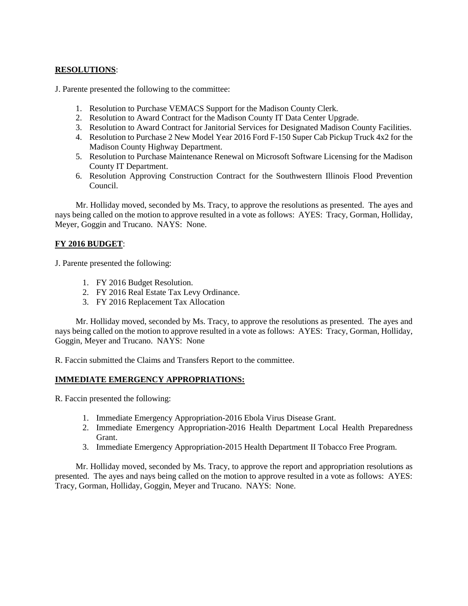# **RESOLUTIONS**:

J. Parente presented the following to the committee:

- 1. Resolution to Purchase VEMACS Support for the Madison County Clerk.
- 2. Resolution to Award Contract for the Madison County IT Data Center Upgrade.
- 3. Resolution to Award Contract for Janitorial Services for Designated Madison County Facilities.
- 4. Resolution to Purchase 2 New Model Year 2016 Ford F-150 Super Cab Pickup Truck 4x2 for the Madison County Highway Department.
- 5. Resolution to Purchase Maintenance Renewal on Microsoft Software Licensing for the Madison County IT Department.
- 6. Resolution Approving Construction Contract for the Southwestern Illinois Flood Prevention Council.

Mr. Holliday moved, seconded by Ms. Tracy, to approve the resolutions as presented. The ayes and nays being called on the motion to approve resulted in a vote as follows: AYES: Tracy, Gorman, Holliday, Meyer, Goggin and Trucano. NAYS: None.

# **FY 2016 BUDGET**:

J. Parente presented the following:

- 1. FY 2016 Budget Resolution.
- 2. FY 2016 Real Estate Tax Levy Ordinance.
- 3. FY 2016 Replacement Tax Allocation

Mr. Holliday moved, seconded by Ms. Tracy, to approve the resolutions as presented. The ayes and nays being called on the motion to approve resulted in a vote as follows: AYES: Tracy, Gorman, Holliday, Goggin, Meyer and Trucano. NAYS: None

R. Faccin submitted the Claims and Transfers Report to the committee.

### **IMMEDIATE EMERGENCY APPROPRIATIONS:**

R. Faccin presented the following:

- 1. Immediate Emergency Appropriation-2016 Ebola Virus Disease Grant.
- 2. Immediate Emergency Appropriation-2016 Health Department Local Health Preparedness Grant.
- 3. Immediate Emergency Appropriation-2015 Health Department II Tobacco Free Program.

Mr. Holliday moved, seconded by Ms. Tracy, to approve the report and appropriation resolutions as presented. The ayes and nays being called on the motion to approve resulted in a vote as follows: AYES: Tracy, Gorman, Holliday, Goggin, Meyer and Trucano. NAYS: None.